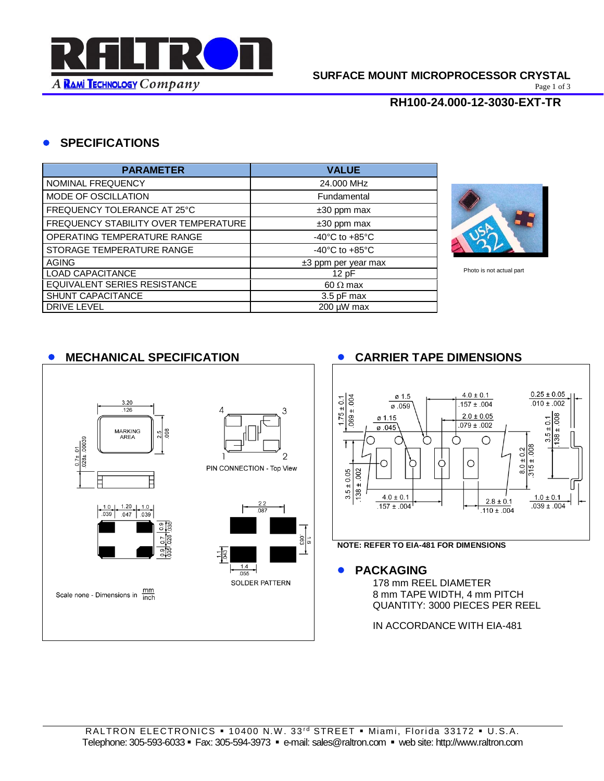

Page 1 of 3

#### **RH100-24.000-12-3030-EXT-TR**

### • **SPECIFICATIONS**

| <b>PARAMETER</b>                     | <b>VALUE</b>                       |  |  |
|--------------------------------------|------------------------------------|--|--|
| NOMINAL FREQUENCY                    | 24,000 MHz                         |  |  |
| MODE OF OSCILLATION                  | Fundamental                        |  |  |
| FREQUENCY TOLERANCE AT 25°C          | $±30$ ppm max                      |  |  |
| FREQUENCY STABILITY OVER TEMPERATURE | $±30$ ppm max                      |  |  |
| OPERATING TEMPERATURE RANGE          | $-40^{\circ}$ C to $+85^{\circ}$ C |  |  |
| STORAGE TEMPERATURE RANGE            | $-40^{\circ}$ C to $+85^{\circ}$ C |  |  |
| <b>AGING</b>                         | $±3$ ppm per year max              |  |  |
| <b>LOAD CAPACITANCE</b>              | 12pF                               |  |  |
| EQUIVALENT SERIES RESISTANCE         | $60 \Omega$ max                    |  |  |
| SHUNT CAPACITANCE                    | 3.5 pF max                         |  |  |
| <b>DRIVE LEVEL</b>                   | 200 µW max                         |  |  |



Photo is not actual part



#### • **MECHANICAL SPECIFICATION** • **CARRIER TAPE DIMENSIONS**



**NOTE: REFER TO EIA-481 FOR DIMENSIONS**

178 mm REEL DIAMETER 8 mm TAPE WIDTH, 4 mm PITCH QUANTITY: 3000 PIECES PER REEL

IN ACCORDANCE WITH EIA-481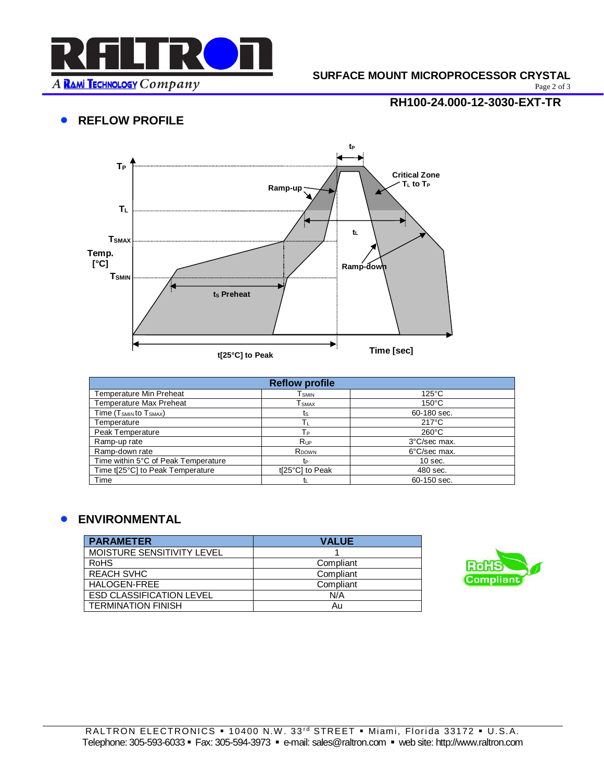

# **SURFACE MOUNT MICROPROCESSOR CRYSTAL**<br>Page 2 of 3

**RH100-24.000-12-3030-EXT-TR**

Page 2 of 3

## • **REFLOW PROFILE**



| <b>Reflow profile</b>                          |                   |                 |  |  |
|------------------------------------------------|-------------------|-----------------|--|--|
| <b>Temperature Min Preheat</b>                 | l smin            | $125^{\circ}$ C |  |  |
| <b>Temperature Max Preheat</b>                 | <b>E</b> smax     | $150^{\circ}$ C |  |  |
| Time (T <sub>SMIN</sub> to T <sub>SMAX</sub> ) | ts                | 60-180 sec.     |  |  |
| Temperature                                    | Tυ                | $217^{\circ}$ C |  |  |
| Peak Temperature                               | Tр                | $260^{\circ}$ C |  |  |
| Ramp-up rate                                   | <b>Rup</b>        | 3°C/sec max.    |  |  |
| Ramp-down rate                                 | R <sub>DOWN</sub> | 6°C/sec max.    |  |  |
| Time within 5°C of Peak Temperature            | t∍                | $10$ sec.       |  |  |
| Time t[25°C] to Peak Temperature               | t[25°C] to Peak   | 480 sec.        |  |  |
| Time                                           |                   | 60-150 sec.     |  |  |

#### • **ENVIRONMENTAL**

| <b>PARAMETER</b>                | <b>VALUE</b> |
|---------------------------------|--------------|
| MOISTURE SENSITIVITY LEVEL      |              |
| <b>RoHS</b>                     | Compliant    |
| <b>REACH SVHC</b>               | Compliant    |
| HALOGEN-FREE                    | Compliant    |
| <b>ESD CLASSIFICATION LEVEL</b> | N/A          |
| <b>TERMINATION FINISH</b>       | Au           |